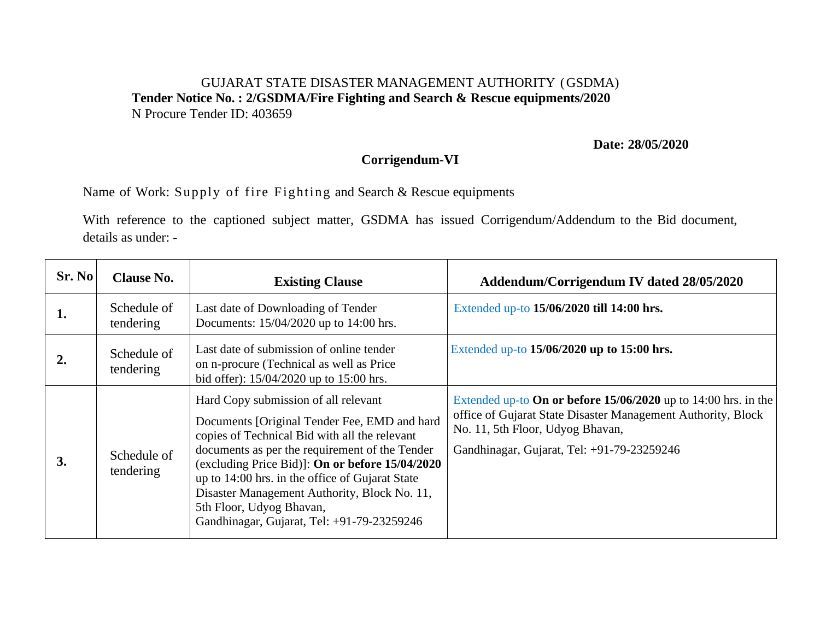## GUJARAT STATE DISASTER MANAGEMENT AUTHORITY (GSDMA) **Tender Notice No. : 2/GSDMA/Fire Fighting and Search & Rescue equipments/2020**  N Procure Tender ID: 403659

**Date: 28/05/2020**

## **Corrigendum-VI**

Name of Work: Supply of fire Fighting and Search & Rescue equipments

With reference to the captioned subject matter, GSDMA has issued Corrigendum/Addendum to the Bid document, details as under: -

| Sr. No           | <b>Clause No.</b>        | <b>Existing Clause</b>                                                                                                                                                                                                                                                                                                                                                                                                  | Addendum/Corrigendum IV dated 28/05/2020                                                                                                                                                                           |
|------------------|--------------------------|-------------------------------------------------------------------------------------------------------------------------------------------------------------------------------------------------------------------------------------------------------------------------------------------------------------------------------------------------------------------------------------------------------------------------|--------------------------------------------------------------------------------------------------------------------------------------------------------------------------------------------------------------------|
| 1.               | Schedule of<br>tendering | Last date of Downloading of Tender<br>Documents: 15/04/2020 up to 14:00 hrs.                                                                                                                                                                                                                                                                                                                                            | Extended up-to 15/06/2020 till 14:00 hrs.                                                                                                                                                                          |
| $\overline{2}$ . | Schedule of<br>tendering | Last date of submission of online tender<br>on n-procure (Technical as well as Price<br>bid offer): 15/04/2020 up to 15:00 hrs.                                                                                                                                                                                                                                                                                         | Extended up-to $15/06/2020$ up to $15:00$ hrs.                                                                                                                                                                     |
| 3.               | Schedule of<br>tendering | Hard Copy submission of all relevant<br>Documents [Original Tender Fee, EMD and hard<br>copies of Technical Bid with all the relevant<br>documents as per the requirement of the Tender<br>(excluding Price Bid)]: On or before 15/04/2020<br>up to 14:00 hrs. in the office of Gujarat State<br>Disaster Management Authority, Block No. 11,<br>5th Floor, Udyog Bhavan,<br>Gandhinagar, Gujarat, Tel: +91-79-23259246 | Extended up-to On or before $15/06/2020$ up to 14:00 hrs. in the<br>office of Gujarat State Disaster Management Authority, Block<br>No. 11, 5th Floor, Udyog Bhavan,<br>Gandhinagar, Gujarat, Tel: +91-79-23259246 |